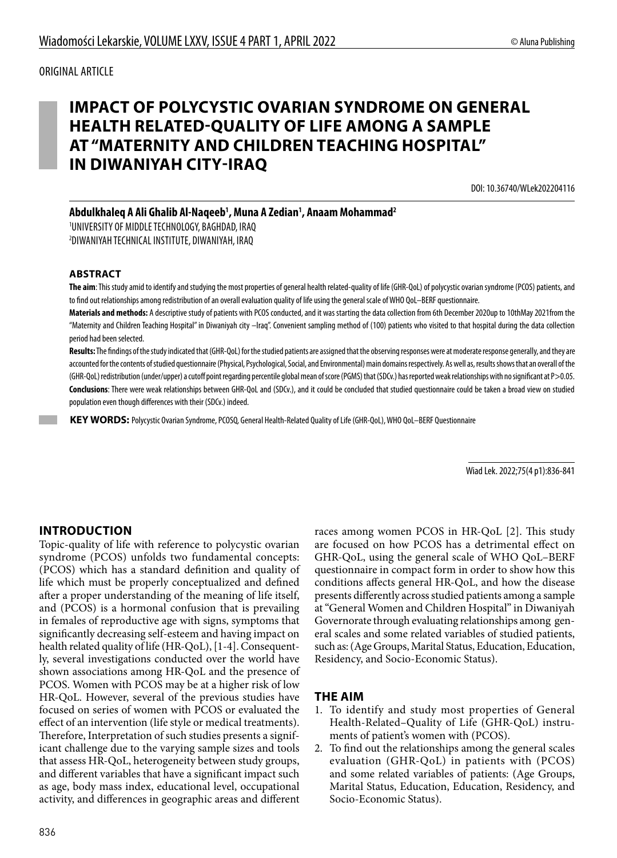# **IMPACT OF POLYCYSTIC OVARIAN SYNDROME ON GENERAL HEALTH RELATED-QUALITY OF LIFE AMONG A SAMPLE AT "MATERNITY AND CHILDREN TEACHING HOSPITAL" IN DIWANIYAH CITY-IRAQ**

DOI: 10.36740/WLek202204116

**Abdulkhaleq A Ali Ghalib Al-Naqeeb1 , Muna A Zedian1 , Anaam Mohammad2**

1 UNIVERSITY OF MIDDLE TECHNOLOGY, BAGHDAD, IRAQ 2 DIWANIYAH TECHNICAL INSTITUTE, DIWANIYAH, IRAQ

#### **ABSTRACT**

**The aim**: This study amid to identify and studying the most properties of general health related-quality of life (GHR-QoL) of polycystic ovarian syndrome (PCOS) patients, and to find out relationships among redistribution of an overall evaluation quality of life using the general scale of WHO QoL–BERF questionnaire.

**Materials and methods:** A descriptive study of patients with PCOS conducted, and it was starting the data collection from 6th December 2020up to 10thMay 2021from the "Maternity and Children Teaching Hospital" in Diwaniyah city –Iraq". Convenient sampling method of (100) patients who visited to that hospital during the data collection period had been selected.

**Results:** The findings of the study indicated that (GHR-QoL) for the studied patients are assigned that the observing responses were at moderate response generally, and they are accounted for the contents of studied questionnaire (Physical, Psychological, Social, and Environmental) main domains respectively. As well as, results shows that an overall of the (GHR-QoL) redistribution (under/upper) a cutoff point regarding percentile global mean of score (PGMS) that (SDCv.) has reported weak relationships with no significant at P>0.05. **Conclusions**: There were weak relationships between GHR-QoL and (SDCv.), and it could be concluded that studied questionnaire could be taken a broad view on studied population even though differences with their (SDCv.) indeed.

 **KEY WORDS:** Polycystic Ovarian Syndrome, PCOSQ, General Health-Related Quality of Life (GHR-QoL), WHO QoL–BERF Questionnaire

Wiad Lek. 2022;75(4 p1):836-841

#### **INTRODUCTION**

Topic-quality of life with reference to polycystic ovarian syndrome (PCOS) unfolds two fundamental concepts: (PCOS) which has a standard definition and quality of life which must be properly conceptualized and defined after a proper understanding of the meaning of life itself, and (PCOS) is a hormonal confusion that is prevailing in females of reproductive age with signs, symptoms that significantly decreasing self-esteem and having impact on health related quality of life (HR-QoL), [1-4]. Consequently, several investigations conducted over the world have shown associations among HR-QoL and the presence of PCOS. Women with PCOS may be at a higher risk of low HR-QoL. However, several of the previous studies have focused on series of women with PCOS or evaluated the effect of an intervention (life style or medical treatments). Therefore, Interpretation of such studies presents a significant challenge due to the varying sample sizes and tools that assess HR-QoL, heterogeneity between study groups, and different variables that have a significant impact such as age, body mass index, educational level, occupational activity, and differences in geographic areas and different

races among women PCOS in HR-QoL [2]. This study are focused on how PCOS has a detrimental effect on GHR-QoL, using the general scale of WHO QoL–BERF questionnaire in compact form in order to show how this conditions affects general HR-QoL, and how the disease presents differently across studied patients among a sample at "General Women and Children Hospital" in Diwaniyah Governorate through evaluating relationships among general scales and some related variables of studied patients, such as: (Age Groups, Marital Status, Education, Education, Residency, and Socio-Economic Status).

#### **THE AIM**

- 1. To identify and study most properties of General Health-Related–Quality of Life (GHR-QoL) instruments of patient's women with (PCOS).
- 2. To find out the relationships among the general scales evaluation (GHR-QoL) in patients with (PCOS) and some related variables of patients: (Age Groups, Marital Status, Education, Education, Residency, and Socio-Economic Status).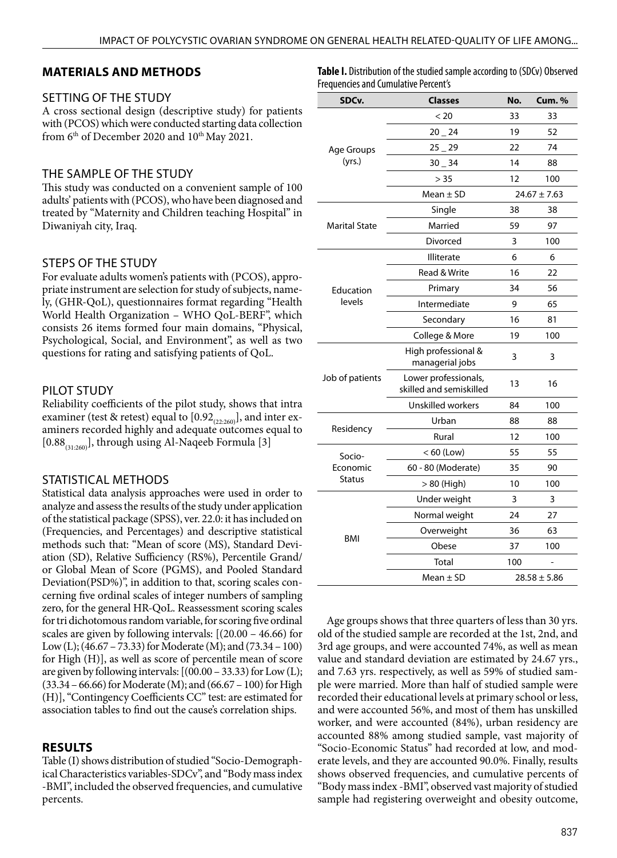### **MATERIALS AND METHODS**

#### SETTING OF THE STUDY

A cross sectional design (descriptive study) for patients with (PCOS) which were conducted starting data collection from  $6<sup>th</sup>$  of December 2020 and  $10<sup>th</sup>$  May 2021.

### THE SAMPLE OF THE STUDY

This study was conducted on a convenient sample of 100 adults' patients with (PCOS), who have been diagnosed and treated by "Maternity and Children teaching Hospital" in Diwaniyah city, Iraq.

### STEPS OF THE STUDY

For evaluate adults women's patients with (PCOS), appropriate instrument are selection for study of subjects, namely, (GHR-QoL), questionnaires format regarding "Health World Health Organization – WHO QoL-BERF", which consists 26 items formed four main domains, "Physical, Psychological, Social, and Environment", as well as two questions for rating and satisfying patients of QoL.

### PILOT STUDY

Reliability coefficients of the pilot study, shows that intra examiner (test & retest) equal to  $[0.92]_{(22:260)}$ , and inter examiners recorded highly and adequate outcomes equal to  $[0.88_{(31:260)}]$ , through using Al-Naqeeb Formula [3]

## STATISTICAL METHODS

Statistical data analysis approaches were used in order to analyze and assess the results of the study under application of the statistical package (SPSS), ver. 22.0: it has included on (Frequencies, and Percentages) and descriptive statistical methods such that: "Mean of score (MS), Standard Deviation (SD), Relative Sufficiency (RS%), Percentile Grand/ or Global Mean of Score (PGMS), and Pooled Standard Deviation(PSD%)", in addition to that, scoring scales concerning five ordinal scales of integer numbers of sampling zero, for the general HR-QoL. Reassessment scoring scales for tri dichotomous random variable, for scoring five ordinal scales are given by following intervals: [(20.00 – 46.66) for Low (L); (46.67 – 73.33) for Moderate (M); and (73.34 – 100) for High (H)], as well as score of percentile mean of score are given by following intervals:  $[(00.00 - 33.33)$  for Low  $(L);$ (33.34 – 66.66) for Moderate (M); and (66.67 – 100) for High (H)], "Contingency Coefficients CC" test: are estimated for association tables to find out the cause's correlation ships.

#### **RESULTS**

Table (I) shows distribution of studied "Socio-Demographical Characteristics variables-SDCv", and "Body mass index -BMI", included the observed frequencies, and cumulative percents.

**Table I.** Distribution of the studied sample according to (SDCv) Observed Frequencies and Cumulative Percent's

| SDCv.                | <b>Classes</b>                                  | No.              | Cum. %           |
|----------------------|-------------------------------------------------|------------------|------------------|
|                      | < 20                                            | 33               | 33               |
| Age Groups<br>(yrs.) | 20 24                                           | 19               | 52               |
|                      | $25 - 29$                                       | 22               | 74               |
|                      | $30 - 34$                                       | 14               | 88               |
|                      | > 35                                            | 12               | 100              |
|                      | Mean $\pm$ SD                                   |                  | $24.67 \pm 7.63$ |
|                      | Single                                          | 38               | 38               |
| <b>Marital State</b> | Married                                         | 59               | 97               |
|                      | Divorced                                        | 3                | 100              |
|                      | <b>Illiterate</b>                               | 6                | 6                |
|                      | Read & Write                                    | 16               | 22               |
| Education            | Primary                                         | 34               | 56               |
| levels               | Intermediate                                    | 9                | 65               |
|                      | Secondary                                       | 16               | 81               |
|                      | College & More                                  | 19               | 100              |
| Job of patients      | High professional &<br>managerial jobs          | 3                | 3                |
|                      | Lower professionals,<br>skilled and semiskilled | 13               | 16               |
|                      | Unskilled workers                               | 84               | 100              |
|                      | Urban                                           | 88               | 88               |
| Residency            | Rural                                           | 12               | 100              |
| Socio-               | $< 60$ (Low)                                    | 55               | 55               |
| Economic             | 60 - 80 (Moderate)                              | 35               | 90               |
| Status               | > 80 (High)                                     | 10               | 100              |
|                      | Under weight                                    | 3                | 3                |
|                      | Normal weight                                   | 24               | 27               |
|                      | Overweight                                      | 36               | 63               |
| BMI                  | Obese                                           | 37               | 100              |
|                      | Total                                           | 100              |                  |
|                      | Mean $\pm$ SD                                   | $28.58 \pm 5.86$ |                  |

Age groups shows that three quarters of less than 30 yrs. old of the studied sample are recorded at the 1st, 2nd, and 3rd age groups, and were accounted 74%, as well as mean value and standard deviation are estimated by 24.67 yrs., and 7.63 yrs. respectively, as well as 59% of studied sample were married. More than half of studied sample were recorded their educational levels at primary school or less, and were accounted 56%, and most of them has unskilled worker, and were accounted (84%), urban residency are accounted 88% among studied sample, vast majority of "Socio-Economic Status" had recorded at low, and moderate levels, and they are accounted 90.0%. Finally, results shows observed frequencies, and cumulative percents of "Body mass index -BMI", observed vast majority of studied sample had registering overweight and obesity outcome,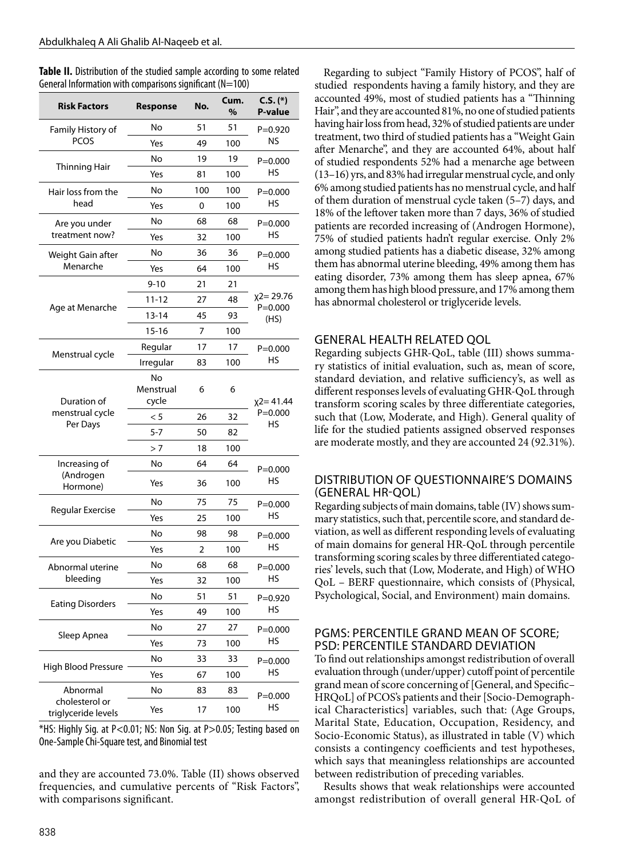**Table II.** Distribution of the studied sample according to some related General Information with comparisons significant  $(N=100)$ 

| <b>Risk Factors</b>                   | No.<br>Response |     | Cum.<br>% | $C.S.$ (*)<br><b>P-value</b> |  |
|---------------------------------------|-----------------|-----|-----------|------------------------------|--|
|                                       | No              | 51  | 51        | $P = 0.920$                  |  |
| Family History of<br><b>PCOS</b>      | Yes             | 49  | 100       | NS                           |  |
|                                       | No              | 19  | 19        | $P = 0.000$<br>HS            |  |
| <b>Thinning Hair</b>                  | Yes             | 81  | 100       |                              |  |
| Hair loss from the                    | No              | 100 | 100       | $P = 0.000$                  |  |
| head                                  | Yes             | 0   | 100       | HS                           |  |
| Are you under                         | No              | 68  | 68        | $P = 0.000$                  |  |
| treatment now?                        | Yes             | 32  | 100       | HS                           |  |
| Weight Gain after                     | No              | 36  | 36        | $P = 0.000$<br>HS            |  |
| Menarche                              | Yes             | 64  | 100       |                              |  |
|                                       | $9 - 10$        | 21  | 21        |                              |  |
|                                       | $11 - 12$       | 27  | 48        | $x^2 = 29.76$                |  |
| Age at Menarche                       | $13 - 14$       | 45  | 93        | $P = 0.000$<br>(HS)          |  |
|                                       | $15 - 16$       | 7   | 100       |                              |  |
|                                       | Regular         | 17  | 17        | $P = 0.000$                  |  |
| Menstrual cycle                       | Irregular       | 83  | 100       | HS                           |  |
|                                       | <b>No</b>       |     |           |                              |  |
|                                       | Menstrual       | 6   | 6         |                              |  |
| Duration of<br>menstrual cycle        | cycle           |     |           | $x2 = 41.44$<br>$P = 0.000$  |  |
| Per Days                              | < 5<br>$5 - 7$  | 26  | 32        | HS                           |  |
|                                       |                 | 50  | 82        |                              |  |
|                                       | >7<br>No        | 18  | 100<br>64 |                              |  |
| Increasing of<br>(Androgen            |                 | 64  |           | $P = 0.000$                  |  |
| Hormone)                              | Yes             | 36  | 100       | HS                           |  |
| <b>Regular Exercise</b>               | No              | 75  | 75        | $P = 0.000$<br>HS            |  |
|                                       | Yes             | 25  | 100       |                              |  |
| Are you Diabetic                      | No              | 98  | 98        | $P = 0.000$<br>HS            |  |
|                                       | Yes             | 2   | 100       |                              |  |
| Abnormal uterine                      | No              | 68  | 68        | $P = 0.000$<br>HS            |  |
| bleeding                              | Yes             | 32  | 100       |                              |  |
| <b>Eating Disorders</b>               | No              | 51  | 51        | $P = 0.920$<br>HS            |  |
|                                       | Yes             | 49  | 100       |                              |  |
| Sleep Apnea                           | No              | 27  | 27        | $P = 0.000$                  |  |
|                                       | Yes             | 73  | 100       | HS                           |  |
| High Blood Pressure                   | No              | 33  | 33        | $P = 0.000$<br>HS            |  |
|                                       | Yes             | 67  | 100       |                              |  |
| Abnormal                              | No              | 83  | 83        | $P = 0.000$                  |  |
| cholesterol or<br>triglyceride levels | Yes             | 17  | 100       | HS                           |  |

\*HS: Highly Sig. at P<0.01; NS: Non Sig. at P>0.05; Testing based on One-Sample Chi-Square test, and Binomial test

and they are accounted 73.0%. Table (II) shows observed frequencies, and cumulative percents of "Risk Factors", with comparisons significant.

Regarding to subject "Family History of PCOS", half of studied respondents having a family history, and they are accounted 49%, most of studied patients has a "Thinning Hair", and they are accounted 81%, no one of studied patients having hair loss from head, 32% of studied patients are under treatment, two third of studied patients has a "Weight Gain after Menarche", and they are accounted 64%, about half of studied respondents 52% had a menarche age between (13–16) yrs, and 83% had irregular menstrual cycle, and only 6% among studied patients has no menstrual cycle, and half of them duration of menstrual cycle taken (5–7) days, and 18% of the leftover taken more than 7 days, 36% of studied patients are recorded increasing of (Androgen Hormone), 75% of studied patients hadn't regular exercise. Only 2% among studied patients has a diabetic disease, 32% among them has abnormal uterine bleeding, 49% among them has eating disorder, 73% among them has sleep apnea, 67% among them has high blood pressure, and 17% among them has abnormal cholesterol or triglyceride levels.

#### GENERAL HEALTH RELATED QOL

Regarding subjects GHR-QoL, table (III) shows summary statistics of initial evaluation, such as, mean of score, standard deviation, and relative sufficiency's, as well as different responses levels of evaluating GHR-QoL through transform scoring scales by three differentiate categories, such that (Low, Moderate, and High). General quality of life for the studied patients assigned observed responses are moderate mostly, and they are accounted 24 (92.31%).

#### DISTRIBUTION OF QUESTIONNAIRE'S DOMAINS (GENERAL HR-QOL)

Regarding subjects of main domains, table (IV) shows summary statistics, such that, percentile score, and standard deviation, as well as different responding levels of evaluating of main domains for general HR-QoL through percentile transforming scoring scales by three differentiated categories' levels, such that (Low, Moderate, and High) of WHO QoL – BERF questionnaire, which consists of (Physical, Psychological, Social, and Environment) main domains.

#### PGMS: PERCENTILE GRAND MEAN OF SCORE; PSD: PERCENTILE STANDARD DEVIATION

To find out relationships amongst redistribution of overall evaluation through (under/upper) cutoff point of percentile grand mean of score concerning of [General, and Specific– HRQoL] of PCOS's patients and their [Socio-Demographical Characteristics] variables, such that: (Age Groups, Marital State, Education, Occupation, Residency, and Socio-Economic Status), as illustrated in table (V) which consists a contingency coefficients and test hypotheses, which says that meaningless relationships are accounted between redistribution of preceding variables.

Results shows that weak relationships were accounted amongst redistribution of overall general HR-QoL of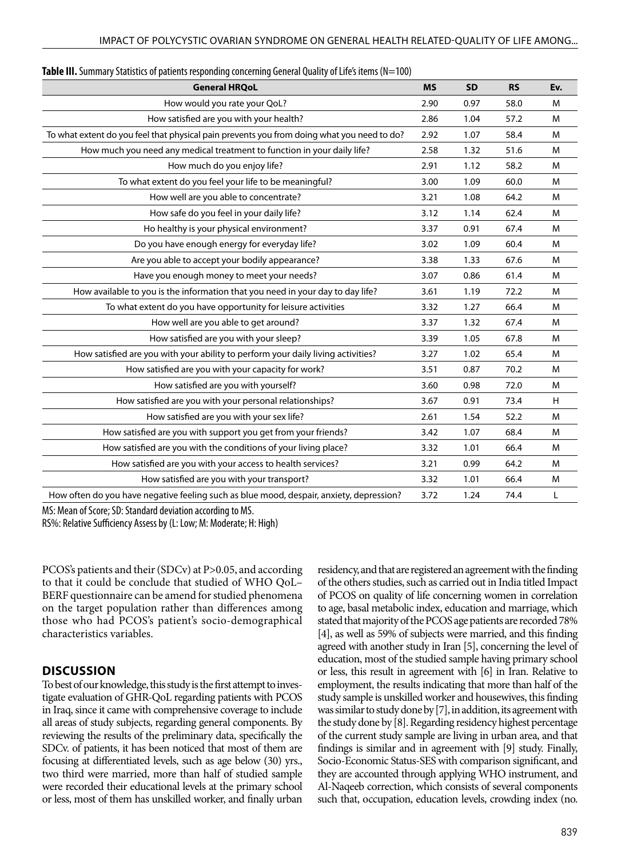| <b>General HRQoL</b>                                                                       | <b>MS</b> | <b>SD</b> | <b>RS</b> | Ev. |
|--------------------------------------------------------------------------------------------|-----------|-----------|-----------|-----|
| How would you rate your QoL?                                                               | 2.90      | 0.97      | 58.0      | M   |
| How satisfied are you with your health?                                                    | 2.86      | 1.04      | 57.2      | M   |
| To what extent do you feel that physical pain prevents you from doing what you need to do? | 2.92      | 1.07      | 58.4      | M   |
| How much you need any medical treatment to function in your daily life?                    | 2.58      | 1.32      | 51.6      | M   |
| How much do you enjoy life?                                                                | 2.91      | 1.12      | 58.2      | M   |
| To what extent do you feel your life to be meaningful?                                     | 3.00      | 1.09      | 60.0      | M   |
| How well are you able to concentrate?                                                      | 3.21      | 1.08      | 64.2      | M   |
| How safe do you feel in your daily life?                                                   | 3.12      | 1.14      | 62.4      | M   |
| Ho healthy is your physical environment?                                                   | 3.37      | 0.91      | 67.4      | M   |
| Do you have enough energy for everyday life?                                               | 3.02      | 1.09      | 60.4      | M   |
| Are you able to accept your bodily appearance?                                             | 3.38      | 1.33      | 67.6      | M   |
| Have you enough money to meet your needs?                                                  | 3.07      | 0.86      | 61.4      | M   |
| How available to you is the information that you need in your day to day life?             | 3.61      | 1.19      | 72.2      | M   |
| To what extent do you have opportunity for leisure activities                              | 3.32      | 1.27      | 66.4      | M   |
| How well are you able to get around?                                                       | 3.37      | 1.32      | 67.4      | M   |
| How satisfied are you with your sleep?                                                     | 3.39      | 1.05      | 67.8      | M   |
| How satisfied are you with your ability to perform your daily living activities?           | 3.27      | 1.02      | 65.4      | M   |
| How satisfied are you with your capacity for work?                                         | 3.51      | 0.87      | 70.2      | M   |
| How satisfied are you with yourself?                                                       | 3.60      | 0.98      | 72.0      | M   |
| How satisfied are you with your personal relationships?                                    | 3.67      | 0.91      | 73.4      | H   |
| How satisfied are you with your sex life?                                                  | 2.61      | 1.54      | 52.2      | M   |
| How satisfied are you with support you get from your friends?                              | 3.42      | 1.07      | 68.4      | M   |
| How satisfied are you with the conditions of your living place?                            | 3.32      | 1.01      | 66.4      | M   |
| How satisfied are you with your access to health services?                                 | 3.21      | 0.99      | 64.2      | м   |
| How satisfied are you with your transport?                                                 | 3.32      | 1.01      | 66.4      | M   |
| How often do you have negative feeling such as blue mood, despair, anxiety, depression?    | 3.72      | 1.24      | 74.4      | L   |

**Table III.** Summary Statistics of patients responding concerning General Quality of Life's items (N=100)

MS: Mean of Score; SD: Standard deviation according to MS.

RS%: Relative Sufficiency Assess by (L: Low; M: Moderate; H: High)

PCOS's patients and their (SDCv) at P>0.05, and according to that it could be conclude that studied of WHO QoL– BERF questionnaire can be amend for studied phenomena on the target population rather than differences among those who had PCOS's patient's socio-demographical characteristics variables.

#### **DISCUSSION**

To best of our knowledge, this study is the first attempt to investigate evaluation of GHR-QoL regarding patients with PCOS in Iraq, since it came with comprehensive coverage to include all areas of study subjects, regarding general components. By reviewing the results of the preliminary data, specifically the SDCv. of patients, it has been noticed that most of them are focusing at differentiated levels, such as age below (30) yrs., two third were married, more than half of studied sample were recorded their educational levels at the primary school or less, most of them has unskilled worker, and finally urban residency, and that are registered an agreement with the finding of the others studies, such as carried out in India titled Impact of PCOS on quality of life concerning women in correlation to age, basal metabolic index, education and marriage, which stated that majority of the PCOS age patients are recorded 78% [4], as well as 59% of subjects were married, and this finding agreed with another study in Iran [5], concerning the level of education, most of the studied sample having primary school or less, this result in agreement with [6] in Iran. Relative to employment, the results indicating that more than half of the study sample is unskilled worker and housewives, this finding was similar to study done by [7], in addition, its agreement with the study done by [8]. Regarding residency highest percentage of the current study sample are living in urban area, and that findings is similar and in agreement with [9] study. Finally, Socio-Economic Status-SES with comparison significant, and they are accounted through applying WHO instrument, and Al-Naqeeb correction, which consists of several components such that, occupation, education levels, crowding index (no.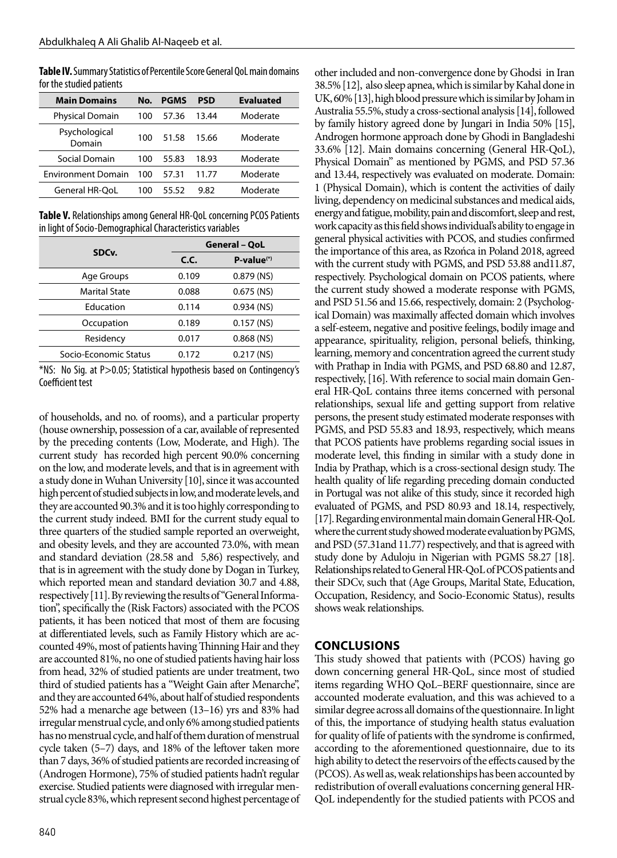**Table IV.** Summary Statistics of Percentile Score General QoL main domains for the studied patients

| <b>Main Domains</b>       | No. | <b>PGMS</b> | PSD   | <b>Evaluated</b> |
|---------------------------|-----|-------------|-------|------------------|
| <b>Physical Domain</b>    | 100 | 57.36       | 13.44 | Moderate         |
| Psychological<br>Domain   | 100 | 51.58       | 15.66 | Moderate         |
| Social Domain             | 100 | 55.83       | 18.93 | Moderate         |
| <b>Environment Domain</b> | 100 | 57.31       | 11.77 | Moderate         |
| <b>General HR-OoL</b>     | 100 | 55.52       | 9.82  | Moderate         |

**Table V.** Relationships among General HR-QoL concerning PCOS Patients in light of Socio-Demographical Characteristics variables

| SDC <sub>v</sub> .    | <b>General - QoL</b> |              |  |  |
|-----------------------|----------------------|--------------|--|--|
|                       | C.C.                 | $P-value(*)$ |  |  |
| Age Groups            | 0.109                | $0.879$ (NS) |  |  |
| <b>Marital State</b>  | 0.088                | $0.675$ (NS) |  |  |
| Education             | 0.114                | $0.934$ (NS) |  |  |
| Occupation            | 0.189                | $0.157$ (NS) |  |  |
| Residency             | 0.017                | $0.868$ (NS) |  |  |
| Socio-Economic Status | 0.172                | $0.217$ (NS) |  |  |

\*NS: No Sig. at P>0.05; Statistical hypothesis based on Contingency's Coefficient test

of households, and no. of rooms), and a particular property (house ownership, possession of a car, available of represented by the preceding contents (Low, Moderate, and High). The current study has recorded high percent 90.0% concerning on the low, and moderate levels, and that is in agreement with a study done in Wuhan University [10], since it was accounted high percent of studied subjects in low, and moderate levels, and they are accounted 90.3% and it is too highly corresponding to the current study indeed. BMI for the current study equal to three quarters of the studied sample reported an overweight, and obesity levels, and they are accounted 73.0%, with mean and standard deviation (28.58 and 5,86) respectively, and that is in agreement with the study done by Dogan in Turkey, which reported mean and standard deviation 30.7 and 4.88, respectively [11]. By reviewing the results of "General Information", specifically the (Risk Factors) associated with the PCOS patients, it has been noticed that most of them are focusing at differentiated levels, such as Family History which are accounted 49%, most of patients having Thinning Hair and they are accounted 81%, no one of studied patients having hair loss from head, 32% of studied patients are under treatment, two third of studied patients has a "Weight Gain after Menarche", and they are accounted 64%, about half of studied respondents 52% had a menarche age between (13–16) yrs and 83% had irregular menstrual cycle, and only 6% among studied patients has no menstrual cycle, and half of them duration of menstrual cycle taken (5–7) days, and 18% of the leftover taken more than 7 days, 36% of studied patients are recorded increasing of (Androgen Hormone), 75% of studied patients hadn't regular exercise. Studied patients were diagnosed with irregular menstrual cycle 83%, which represent second highest percentage of other included and non-convergence done by Ghodsi in Iran 38.5% [12], also sleep apnea, which is similar by Kahal done in UK, 60% [13], high blood pressure which is similar by Joham in Australia 55.5%, study a cross-sectional analysis [14], followed by family history agreed done by Jungari in India 50% [15], Androgen hormone approach done by Ghodi in Bangladeshi 33.6% [12]. Main domains concerning (General HR-QoL), Physical Domain" as mentioned by PGMS, and PSD 57.36 and 13.44, respectively was evaluated on moderate. Domain: 1 (Physical Domain), which is content the activities of daily living, dependency on medicinal substances and medical aids, energy and fatigue, mobility, pain and discomfort, sleep and rest, work capacity as this field shows individual's ability to engage in general physical activities with PCOS, and studies confirmed the importance of this area, as Rzońca in Poland 2018, agreed with the current study with PGMS, and PSD 53.88 and11.87, respectively. Psychological domain on PCOS patients, where the current study showed a moderate response with PGMS, and PSD 51.56 and 15.66, respectively, domain: 2 (Psychological Domain) was maximally affected domain which involves a self-esteem, negative and positive feelings, bodily image and appearance, spirituality, religion, personal beliefs, thinking, learning, memory and concentration agreed the current study with Prathap in India with PGMS, and PSD 68.80 and 12.87, respectively, [16]. With reference to social main domain General HR-QoL contains three items concerned with personal relationships, sexual life and getting support from relative persons, the present study estimated moderate responses with PGMS, and PSD 55.83 and 18.93, respectively, which means that PCOS patients have problems regarding social issues in moderate level, this finding in similar with a study done in India by Prathap, which is a cross-sectional design study. The health quality of life regarding preceding domain conducted in Portugal was not alike of this study, since it recorded high evaluated of PGMS, and PSD 80.93 and 18.14, respectively, [17]. Regarding environmental main domain General HR-QoL where the current study showed moderate evaluation by PGMS, and PSD (57.31and 11.77) respectively, and that is agreed with study done by Aduloju in Nigerian with PGMS 58.27 [18]. Relationships related to General HR-QoL of PCOS patients and their SDCv, such that (Age Groups, Marital State, Education, Occupation, Residency, and Socio-Economic Status), results shows weak relationships.

## **CONCLUSIONS**

This study showed that patients with (PCOS) having go down concerning general HR-QoL, since most of studied items regarding WHO QoL–BERF questionnaire, since are accounted moderate evaluation, and this was achieved to a similar degree across all domains of the questionnaire. In light of this, the importance of studying health status evaluation for quality of life of patients with the syndrome is confirmed, according to the aforementioned questionnaire, due to its high ability to detect the reservoirs of the effects caused by the (PCOS). As well as, weak relationships has been accounted by redistribution of overall evaluations concerning general HR-QoL independently for the studied patients with PCOS and